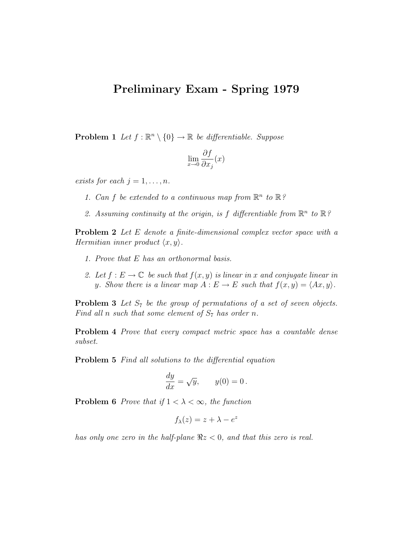## Preliminary Exam - Spring 1979

**Problem 1** Let  $f : \mathbb{R}^n \setminus \{0\} \to \mathbb{R}$  be differentiable. Suppose

$$
\lim_{x \to 0} \frac{\partial f}{\partial x_j}(x)
$$

exists for each  $j = 1, \ldots, n$ .

1. Can f be extended to a continuous map from  $\mathbb{R}^n$  to  $\mathbb{R}$ ?

2. Assuming continuity at the origin, is f differentiable from  $\mathbb{R}^n$  to  $\mathbb{R}$ ?

**Problem 2** Let E denote a finite-dimensional complex vector space with a Hermitian inner product  $\langle x, y \rangle$ .

- 1. Prove that E has an orthonormal basis.
- 2. Let  $f: E \to \mathbb{C}$  be such that  $f(x, y)$  is linear in x and conjugate linear in y. Show there is a linear map  $A: E \to E$  such that  $f(x, y) = \langle Ax, y \rangle$ .

**Problem 3** Let  $S_7$  be the group of permutations of a set of seven objects. Find all n such that some element of  $S_7$  has order n.

**Problem 4** Prove that every compact metric space has a countable dense subset.

Problem 5 Find all solutions to the differential equation

$$
\frac{dy}{dx} = \sqrt{y}, \qquad y(0) = 0.
$$

**Problem 6** Prove that if  $1 < \lambda < \infty$ , the function

$$
f_{\lambda}(z) = z + \lambda - e^z
$$

has only one zero in the half-plane  $\Re z < 0$ , and that this zero is real.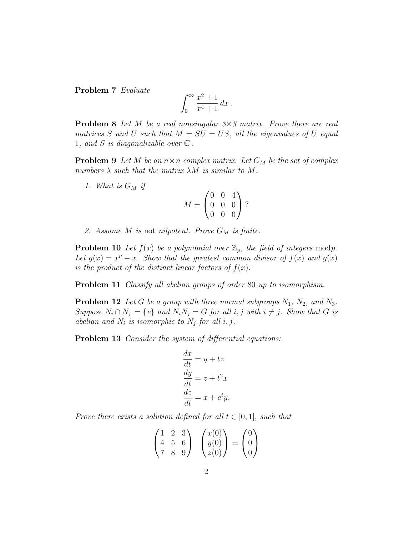Problem 7 Evaluate

$$
\int_0^\infty \frac{x^2+1}{x^4+1} \, dx \, .
$$

**Problem 8** Let M be a real nonsingular  $3 \times 3$  matrix. Prove there are real matrices S and U such that  $M = SU = US$ , all the eigenvalues of U equal 1, and S is diagonalizable over  $\mathbb C$ .

**Problem 9** Let M be an  $n \times n$  complex matrix. Let  $G_M$  be the set of complex numbers  $\lambda$  such that the matrix  $\lambda M$  is similar to M.

1. What is  $G_M$  if

$$
M = \begin{pmatrix} 0 & 0 & 4 \\ 0 & 0 & 0 \\ 0 & 0 & 0 \end{pmatrix} ?
$$

2. Assume M is not nilpotent. Prove  $G_M$  is finite.

**Problem 10** Let  $f(x)$  be a polynomial over  $\mathbb{Z}_p$ , the field of integers modp. Let  $g(x) = x^p - x$ . Show that the greatest common divisor of  $f(x)$  and  $g(x)$ is the product of the distinct linear factors of  $f(x)$ .

**Problem 11** Classify all abelian groups of order 80 up to isomorphism.

**Problem 12** Let G be a group with three normal subgroups  $N_1$ ,  $N_2$ , and  $N_3$ . Suppose  $N_i \cap N_j = \{e\}$  and  $N_i N_j = G$  for all  $i, j$  with  $i \neq j$ . Show that G is abelian and  $N_i$  is isomorphic to  $N_j$  for all i, j.

Problem 13 Consider the system of differential equations:

$$
\frac{dx}{dt} = y + tz
$$

$$
\frac{dy}{dt} = z + t^2 x
$$

$$
\frac{dz}{dt} = x + e^t y.
$$

Prove there exists a solution defined for all  $t \in [0,1]$ , such that

$$
\begin{pmatrix} 1 & 2 & 3 \ 4 & 5 & 6 \ 7 & 8 & 9 \end{pmatrix} \quad \begin{pmatrix} x(0) \\ y(0) \\ z(0) \end{pmatrix} = \begin{pmatrix} 0 \\ 0 \\ 0 \end{pmatrix}
$$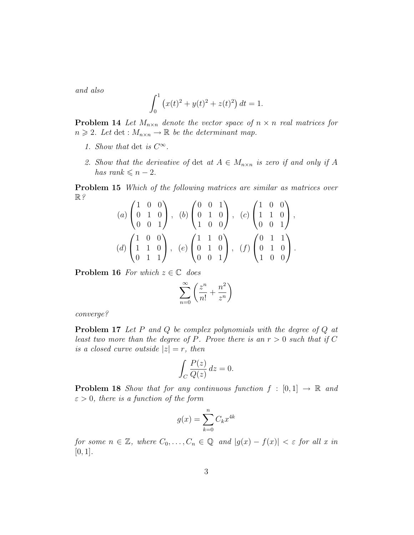and also

$$
\int_0^1 (x(t)^2 + y(t)^2 + z(t)^2) dt = 1.
$$

**Problem 14** Let  $M_{n\times n}$  denote the vector space of  $n \times n$  real matrices for  $n \geq 2$ . Let det :  $M_{n \times n} \to \mathbb{R}$  be the determinant map.

- 1. Show that det is  $C^{\infty}$ .
- 2. Show that the derivative of det at  $A \in M_{n \times n}$  is zero if and only if A has rank  $\leq n-2$ .

Problem 15 Which of the following matrices are similar as matrices over  $\mathbb{R}$ ?  $\mathcal{L}$  $\alpha^{\lambda}$  $\sqrt{2}$  $\Delta$  $\mathcal{L}$ 

$$
(a) \begin{pmatrix} 1 & 0 & 0 \\ 0 & 1 & 0 \\ 0 & 0 & 1 \end{pmatrix}, (b) \begin{pmatrix} 0 & 0 & 1 \\ 0 & 1 & 0 \\ 1 & 0 & 0 \end{pmatrix}, (c) \begin{pmatrix} 1 & 0 & 0 \\ 1 & 1 & 0 \\ 0 & 0 & 1 \end{pmatrix},
$$

$$
(d) \begin{pmatrix} 1 & 0 & 0 \\ 1 & 1 & 0 \\ 0 & 1 & 1 \end{pmatrix}, (e) \begin{pmatrix} 1 & 1 & 0 \\ 0 & 1 & 0 \\ 0 & 0 & 1 \end{pmatrix}, (f) \begin{pmatrix} 0 & 1 & 1 \\ 0 & 1 & 0 \\ 1 & 0 & 0 \end{pmatrix}.
$$

**Problem 16** For which  $z \in \mathbb{C}$  does

$$
\sum_{n=0}^{\infty} \left( \frac{z^n}{n!} + \frac{n^2}{z^n} \right)
$$

converge?

Problem 17 Let P and Q be complex polynomials with the degree of Q at least two more than the degree of P. Prove there is an  $r > 0$  such that if C is a closed curve outside  $|z|=r$ , then

$$
\int_C \frac{P(z)}{Q(z)} dz = 0.
$$

**Problem 18** Show that for any continuous function  $f : [0,1] \rightarrow \mathbb{R}$  and  $\varepsilon > 0$ , there is a function of the form

$$
g(x) = \sum_{k=0}^{n} C_k x^{4k}
$$

for some  $n \in \mathbb{Z}$ , where  $C_0, \ldots, C_n \in \mathbb{Q}$  and  $|g(x) - f(x)| < \varepsilon$  for all x in  $[0, 1]$ .